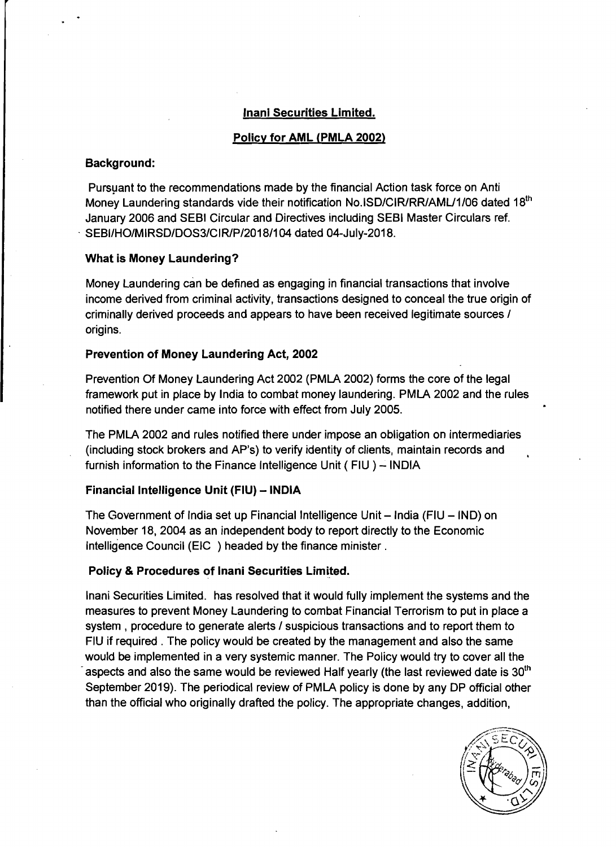### **lnani Securities Limited.**

# **Policv for AML (PMLA 2002)**

#### **Background:**

Pursuant to the recommendations made by the financial Action task force on Anti Money Laundering standards vide their notification No.ISD/CIR/RR/AML/1/06 dated 18<sup>th</sup> January 2006 and SEBl Circular and Directives including SEBl Master Circulars ref. SEBI/HO/MIRSD/DOS3/CIR/P/2018/104 dated 04-July-2018.

### **What is Money Laundering?**

Money Laundering can be defined as engaging in financial transactions that involve income derived from criminal activity, transactions designed to conceal the true origin of criminally derived proceeds and appears to have been received legitimate sources  $\prime$ origins.

# **Prevention of Money Laundering Act, 2002**

Prevention Of Money Laundering Act 2002 (PMIA 2002) forms the core of the legal framework put in place by lndia to combat money laundering. PMIA 2002 and the rules notified there under came into force with effect from July 2005.

The PMIA 2002 and rules notified there under impose an obligation on intermediaries (including stock brokers and AP's) to verify identity of clients, maintain records and furnish information to the Finance Intelligence Unit (FIU) - INDIA

# **Financial Intelligence Unit (FIU) - INDIA**

The Government of India set up Financial Intelligence Unit  $-$  India (FIU  $-$  IND) on November 18,2004 as an independent body to report directly to the Economic lntelligence Council (EIC ) headed by the finance minister .

# **Policy** & **Procedures of lnani Securities Limited.**

lnani Securities Limited. has resolved that it would fully implement the systems and the measures to prevent Money Laundering to combat Financial Terrorism to put in place a system , procedure to generate alerts / suspicious transactions and to report them to FIU if required . The policy would be created by the management and also the same would be implemented in a very systemic manner. The Policy would try to cover all the aspects and also the same would be reviewed Half yearly (the last reviewed date is  $30<sup>th</sup>$ September 2019). The periodical review of PMLA policy is done by any DP official other than the oficial who originally drafted the policy. The appropriate changes, addition,

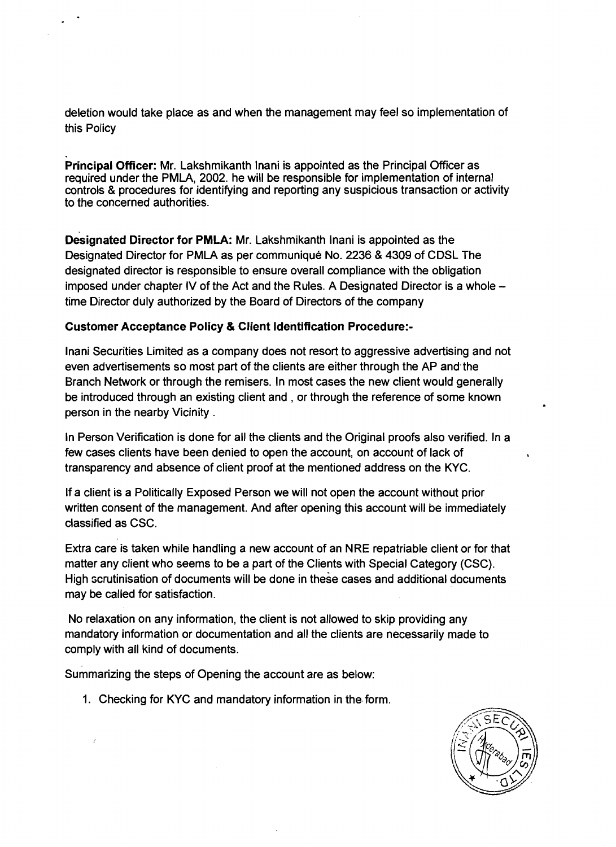deletion would take place as and when the management may feel so implementation of this Policy

**Principal Officer:** Mr. Lakshmikanth lnani is appointed as the Principal Officer as required under the PMLA, 2002. he will be responsible for implementation of internal controls & procedures for identifying and reporting any suspicious transaction or activity to the concerned authorities.

**Designated Director for PMLA:** Mr. Lakshmikanth lnani is appointed as the Designated Director for PMLA as per communiqué No. 2236 & 4309 of CDSL The designated director is responsible to ensure overall compliance with the obligation imposed under chapter IV of the Act and the Rules. A Designated Director is a whole  $$ time Director duly authorized by the Board of Directors of the company

# **Customer Acceptance Policy** & **Client Identification Procedure:-**

lnani Securities Limited as a company does not resort to aggressive advertising and not even advertisements so most part of the clients are either through the AP and the Branch Network or through the remisers. In most cases the new client would generally be introduced through an existing client and , or through the reference of some known person in the nearby Vicinity .

In Person Verification is done for all the clients and the Original proofs also verified. In a few cases clients have been denied to open the account, on account of lack of transparency and absence of client proof at the mentioned address on the KYC.

If a client is a Politically Exposed Person we will not open the account without prior written consent of the management. And after opening this account will be immediately classified as CSC.

Extra care is taken while handling a new account of an NRE repatriable client or for that matter any client who seems to be a part of the Clients with Special Category (CSC). High scrutinisation of documents will be done in these cases and additional documents may be called for satisfaction.

No relaxation on any information, the client is not allowed to skip providing any mandatory information or documentation and all the clients are necessarily made to comply with all kind of documents.

summarizing the steps of Opening the account are as below:

1. Checking for KYC and mandatory information in the-form.

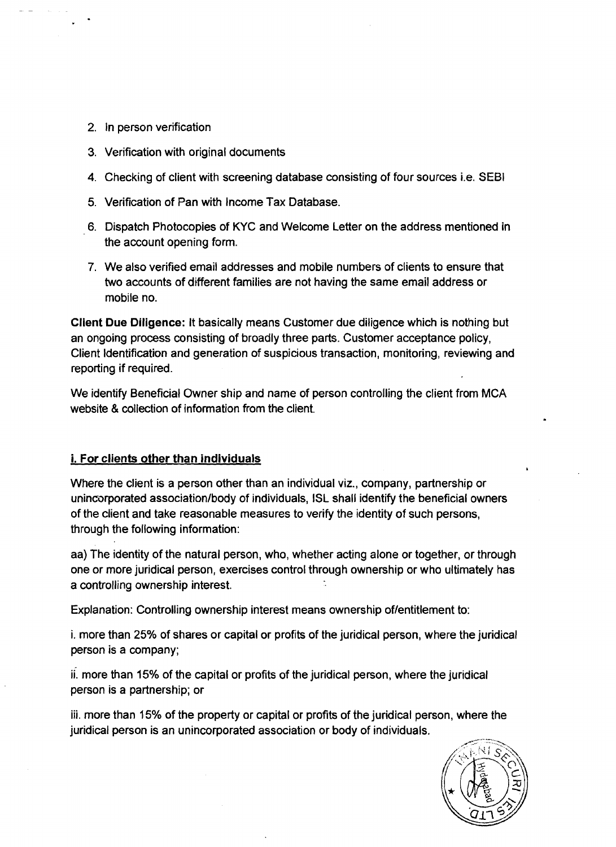- 2. In person verification
- 3. Verification with original documents
- **4.** Checking of client with screening database consisting of four sources i.e. SEBl
- 5. Verification of Pan with Income Tax Database.
- 6. Dispatch Photocopies of KYC and Welcome Letter on the address mentioned in the account opening form.
- 7. We also verified email addresses and mobile numbers of clients to ensure that two accounts of different families are not having the same email address or mobile no.

**Client Due Diligence:** It basically means Customer due diligence which is nothing but an ongoing process consisting of broadly three parts. Customer acceptance policy, Client Identification and generation of suspicious transaction, monitoring, reviewing and reporting if required.

We identify Beneficial Owner ship and name of person controlling the client from MCA website & collection of information from the client.

# **i. For clients other than individuals**

Where the client is a person other than an individual viz., company, partnership or uninorporated association/body of individuals, ISL shall identify the beneficial owners of the client and take reasonable measures to verify the identity of such persons, through the following information:

aa) The identity of the natural person, who, whether acting alone or together, or through one or more juridical person, exercises control through ownership or who ultimately has a controlling ownership interest.

Explanation: Controlling ownership interest means ownership of/entitlement to:

i. more than 25% of shares or capital or profits of the juridical person, where the juridical person is a company;

ii. more than 15% of the capital or profits of the juridical person, where the juridical person is a partnership; or

iii. more than 15% of the property or capital or profits of the juridical person, where the juridical person is an unincorporated association or body of individuals.

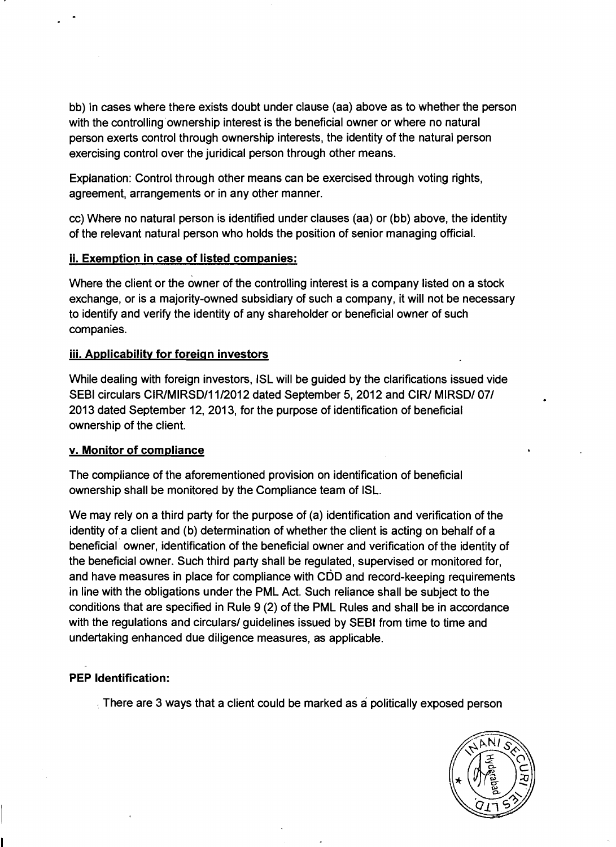bb) In cases where there exists doubt under clause (aa) above as to whether the person with the controlling ownership interest is the beneficial owner or where no natural person exerts control through ownership interests, the identity of the natural person exercising control over the juridical person through other means.

Explanation: Control through other means can be exercised through voting rights, agreement, arrangements or in any other manner.

cc) Where no natural person is identified under clauses (aa) or (bb) above, the identity of the relevant natural person who holds the position of senior managing official.

# **ii. Exemption in case of listed companies:**

Where the client or the owner of the controlling interest is a company listed on a stock exchange, or is a majority-owned subsidiary of such a company, it will not be necessary to identify and verify the identity of any shareholder or beneficial owner of such companies.

# **iii. Applicabilitv for foreign investors**

While dealing with foreign investors, ISL will be guided by the clarifications issued vide SEBI circulars CIR/MIRSD/11/2012 dated September 5, 2012 and CIR/ MIRSD/ 07/ 2013 dated September 12, 2013, for the purpose of identification of beneficial ownership of the client.

# **v. Monitor of compliance**

The compliance of the aforementioned provision on identification of beneficial ownership shall be monitored by the Compliance team of ISL.

We may rely on a third party for the purpose of (a) identification and verification of the identity of a client and (b) determination of whether the client is acting on behalf of a beneficial owner, identification of the beneficial owner and verification of the identity of the beneficial owner. Such third party shall be regulated, supervised or monitored for, and have measures in place for compliance with CDD and record-keeping requirements in line with the obligations under the PML Act. Such reliance shall be subject to the conditions that are specified in Rule 9 (2) of the PML Rules and shall be in accordance with the regulations and circulars/ guidelines issued by SEBI from time to time and undertaking enhanced due diligence measures, as applicable.

# **PEP Identification:**

There are 3 ways that a client could be marked as a politically exposed person

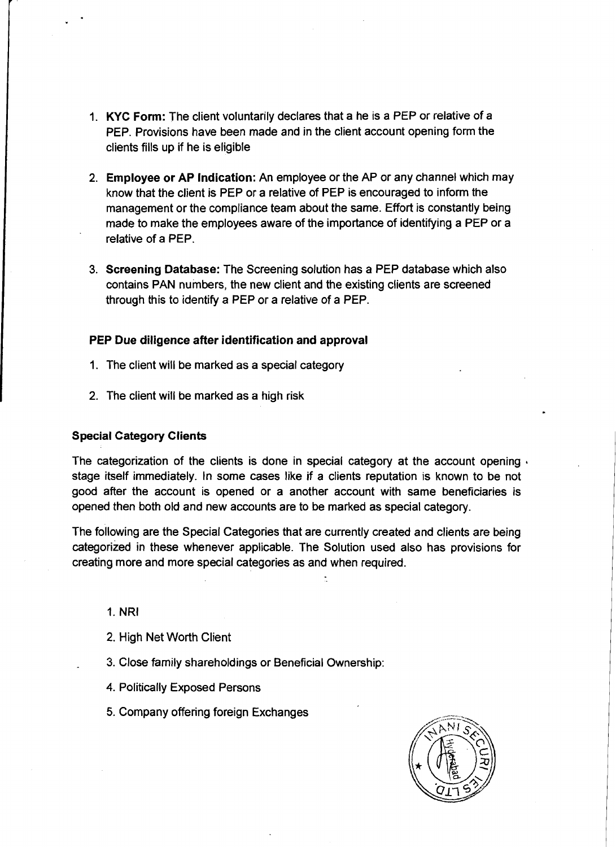- **1. KYC Form:** The client voluntarily declares that a he is a PEP or relative of a PEP. Provisions have been made and in the client account opening form the clients fills up if he is eligible
- 2. **Employee or AP Indication:** An employee or the AP or any channel which may know that the client is PEP or a relative of PEP is encouraged to inform the management or the compliance team about the same. Effort is constantly being made to make the employees aware of the importance of identifying a PEP or a relative of a PEP.
- 3. **Screening Database:** The Screening solution has a PEP database which also contains PAN numbers, the new client and the existing clients are screened through this to identify a PEP or a relative of a PEP.

#### **PEP Due diligence after identification and approval**

- 1. The client will be marked as a special category
- 2. The client will be marked as a high risk

#### **Special Category Clients**

The categorization of the clients is done in special category at the account opening **i** stage itself immediately. In some cases like if a clients reputation is known to be not good after the account is opened or a another account with same beneficiaries is opened then both old and new accounts are to be marked as special category.

The following are the Special Categories that are currently created and clients are being categorized in these whenever applicable. The Solution used also has provisions for creating more and more special categories as and when required.

- 1. NRI
- 2. High Net Worth Client
- 3. Close family shareholdings or Beneficial Ownership:
- **4.** Politically Exposed Persons
- **5.** Company offering foreign Exchanges

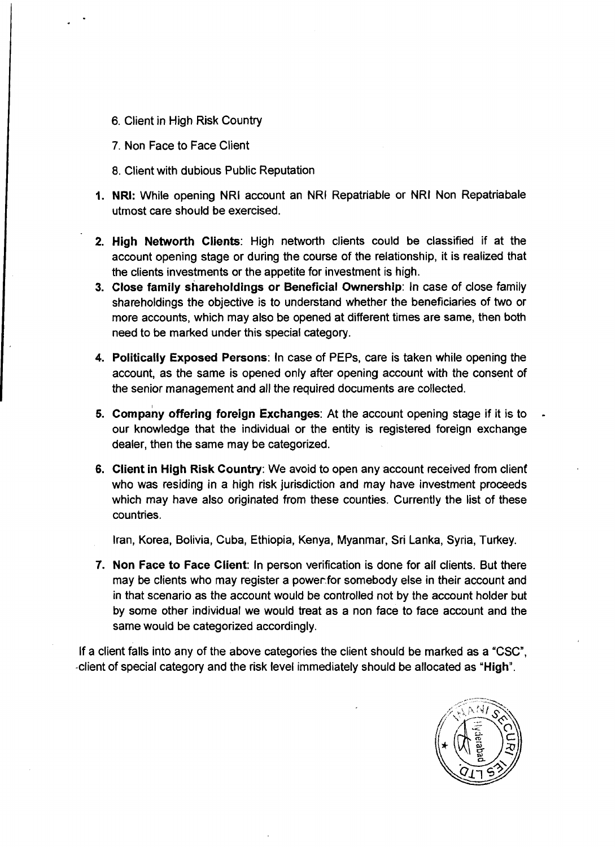- 6. Client in High Risk Country
- 7. Non Face to Face Client
- 8. Client with dubious Public Reputation
- **1. NRI:** While opening NRI account an NRI Repatriable or NRI Non Repatriabale utmost care should be exercised.
- **2. High Networth Clients:** High networth clients could be classified if at the account opening stage or during the course of the relationship, it is realized that the clients investments or the appetite for investment is high.
- **3. Close family shareholdings or Beneficial Ownership:** In case of close family shareholdings the objective is to understand whether the beneficiaries of two or more accounts, which may also be opened at different times are same, then both need to be marked under this special category.
- **4. Politically Exposed Persons:** In case of PEPS, care is taken while opening the account, as the same is opened only after opening account with the consent of the senior management and all the required documents are collected.
- **5. company offering foreign Exchanges:** At the account opening stage if it is to our knowledge that the individual or the entity is registered foreign exchange dealer, then the same may be categorized.
- **6. Client in High Risk Country:** We avoid to open any account received from client who was residing in a high risk jurisdiction and may have investment proceeds which may have also originated from these counties. Currently the list of these countries.

Iran, Korea, Bolivia, Cuba, Ethiopia, Kenya, Myanmar, Sri Lanka, Syria, Turkey.

**7. Non Face to Face Client:** In person verification is done for all clients. But there may be clients who may register a power.for somebody else in their account and in that scenario as the account would be controlled not by the account holder but by some other individual we would treat as a non face to face account and the same would be categorized accordingly.

If a client falls into any of the above categories the client should be marked as a "CSC", -client of special category and the risk level immediately should be allocated as **"High".** 

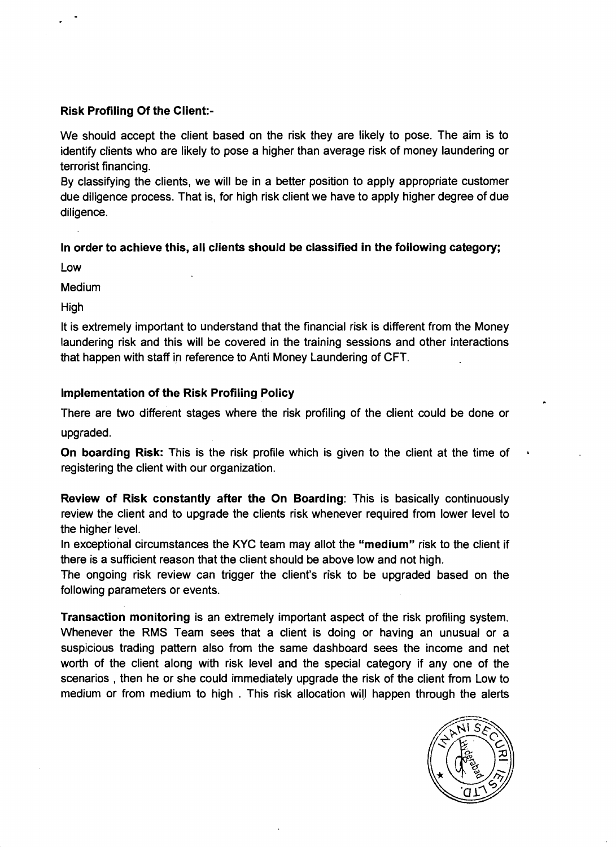# Risk Profiling Of the Client:-

We should accept the client based on the risk they are likely to pose. The aim is to identify clients who are likely to pose a higher than average risk of money laundering or terrorist financing.

By classifying the clients, we will be in a better position to apply appropriate customer due diligence process. That is, for high risk client we have to apply higher degree of due diligence.

# In order to achieve this, all clients should be classified in the following category;

Low

Medium

High

It is extremely important to understand that the financial risk is different from the Money laundering risk and this will be covered in the training sessions and other interactions that happen with staff in reference to Anti Money Laundering of CFT.

# Implementation of the Risk Profiling Policy

There are two different stages where the risk profiling of the client could be done or upgraded.

On boarding Risk: This is the risk profile which is given to the client at the time of registering the client with our organization.

Review of Risk constantly after the On Boarding: This is basically continuously review the client and to upgrade the clients risk whenever required from lower level to the higher level.

In exceptional circumstances the KYC team may allot the "medium" risk to the client if there is a sufficient reason that the client should be above low and not high.

The ongoing risk review can trigger the client's risk to be upgraded based on the following parameters or events.

Transaction monitoring is an extremely important aspect of the risk profiling system. Whenever the RMS Team sees that a client is doing or having an unusual or a suspicious trading pattern also from the same dashboard sees the income and net worth of the client along with risk level and the special category if any one of the scenarios , then he or she could immediately upgrade the risk of the client from Low to medium or from medium to high . This risk allocation will happen through the alerts

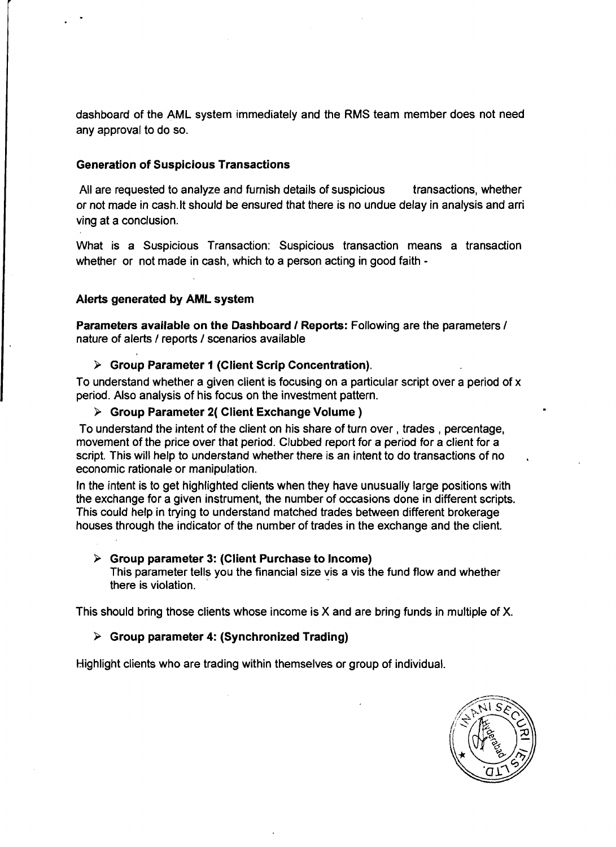dashboard of the AML system immediately and the RMS team member does not need any approval to do so.

#### **Generation of Suspicious Transactions**

All are requested to analyze and furnish details of suspicious transactions, whether or not made in cash.lt should be ensured that there is no undue delay in analysis and arri ving at a conclusion.

What is a Suspicious Transaction: Suspicious transaction means a transaction whether or not made in cash, which to a person acting in good faith -

### **Alerts generated by AML system**

**Parameters available on the Dashboard I Reports:** Following are the parameters **<sup>I</sup>** nature of alerts **I** reports **I** scenarios available

#### <sup>&</sup>gt;**Group Parameter I (Client Scrip Concentration).**

To understand whether a given client is focusing on a particular script over a period of x period. Also analysis of his focus on the investment pattern.

#### > **Group Parameter 2( Client Exchange Volume** )

To understand the intent of the client on his share of turn over, trades , percentage, movement of the price over that period. Clubbed report for a period for a client for a script. This will help to understand whether there is an intent to do transactions of no economic rationale or manipulation.

In the intent is to get highlighted clients when they have unusually large positions with the exchange for a given instrument, the number of occasions done in different scripts. This could help in trying to understand matched trades between different brokerage houses through the indicator of the number of trades in the exchange and the client.

#### > **Group parameter 3: (Client Purchase to Income)**

This parameter tells you the financial size vis a vis the fund flow and whether there is violation.

This should bring those clients whose income is X and are bring funds in multiple of X.

### > **Group parameter 4: (Synchronized Trading)**

Highlight clients who are trading within themselves or group of individual.

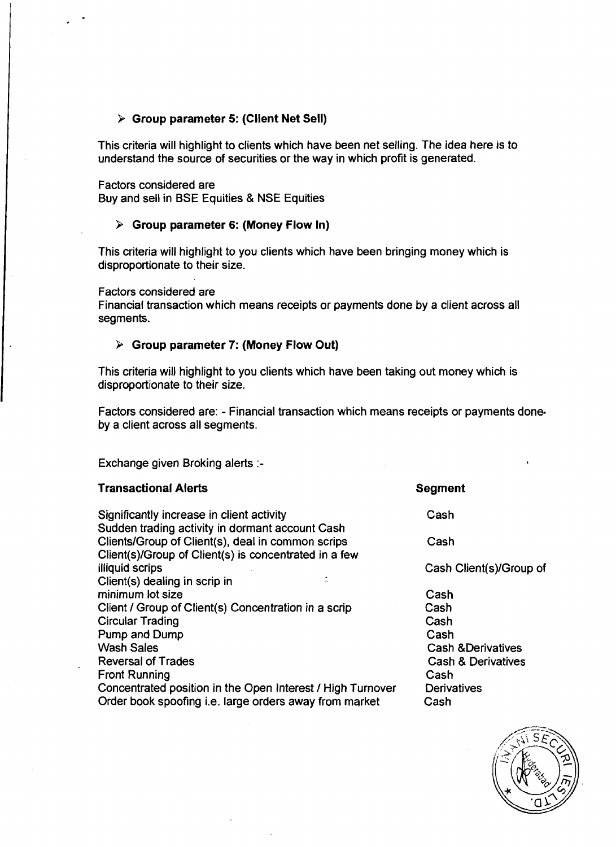### > **Group parameter 5: (Client Net Sell)**

This criteria will highlight to clients which have been net selling. The idea here is to understand the source of securities or the way in which profit is generated.

Factors considered are

Buy and sell in BSE Equities & NSE Equities

#### > **Group parameter 6: (Money Flow In)**

This criteria will highlight to you clients which have been bringing money which is disproportionate to their size.

Factors considered are

Financial transaction which means receipts or payments done by a client across all segments.

#### **b Group parameter 7: (Money Flow Out)**

This criteria will highlight to you clients which have been taking out money which is disproportionate to their size.

Factors considered are: - Financial transaction which means receipts or payments done. by a client across all segments.

Exchange given Broking alerts :-

#### **Transactional Alerts** and **Segment Segment**

Significantly increase in client activity Sudden trading activity in dormant account Cash Clients/Group of Client(s), deal in common scrips Client(s)/Group of Client(s) is concentrated in a few illiquid scrips Client(s) dealing in scrip in minimum lot size Client / Group of Client(s) Concentration in a scrip Circular Trading Pump and Dump Wash Sales Reversal of Trades Front Running Concentrated position in the Open Interest / High Turnover Order book spoofing i.e. large orders away from market

Cash

Cash

Cash Client(s)/Group of

Cash Cash Cash Cash Cash &Derivatives Cash & Derivatives Cash **Derivatives** Cash

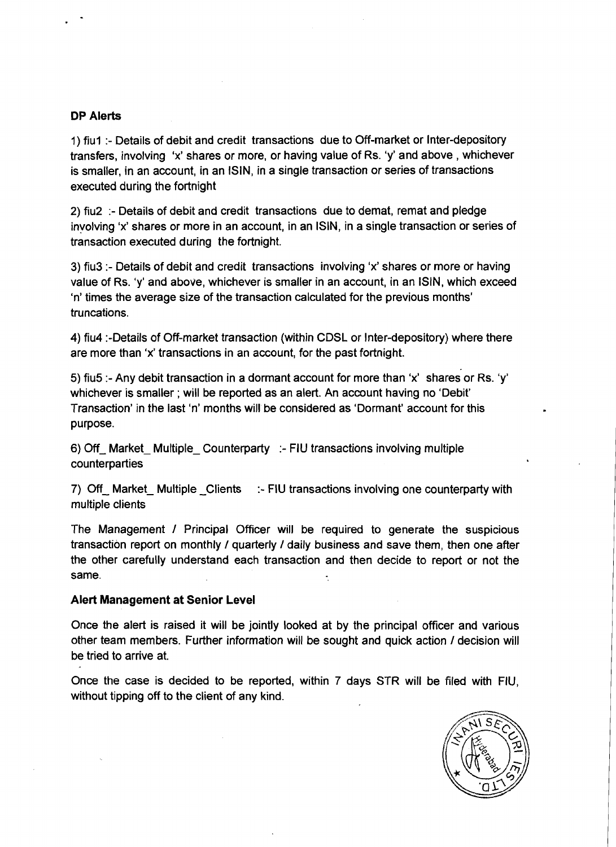#### **DP Alerts**

1) fiul :- Details of debit and credit transactions due to Off-market or Inter-depository transfers, involving 'x' shares or more, or having value of Rs. 'y' and above , whichever is smaller, in an account, in an ISIN, in a single transaction or series of transactions executed during the fortnight

2) fiu2 :- Details of debit and credit transactions due to demat, remat and pledge involving 'x' shares or more in an account, in an ISIN, in a single transaction or series of transaction executed during the fortnight.

3) fiu3 :- Details of debit and credit transactions involving 'x' shares or more or having value of Rs. 'y' and above, whichever is smaller in an account, in an ISIN, which exceed 'n' times the average size of the transaction calculated for the previous months' truncations.

4) fiu4 :-Details of Off-market transaction (within CDSL or Inter-depository) where there are more than 'x' transactions in an account, for the past fortnight.

5) fiu5 :- Any debit transaction in a dormant account for more than 'x' shares or Rs. 'y' whichever is smaller ; will be reported as an alert. An account having no 'Debit' Transaction' in the last 'n' months will be considered as 'Dormant' account for this purpose.

6) Off- Market- Multiple- Counterparty :- FIU transactions involving multiple counterparties

7) Off- Market- Multiple- Clients :- FIU transactions involving one counterparty with multiple clients

The Management / Principal Officer will be required to generate the suspicious transaction report on monthly / quarterly / daily business and save them, then one after the other carefully understand each transaction and then decide to report or not the same.

#### **Alert Management at Senior Level**

Once the alert is raised it will be jointly looked at by the principal officer and various other team members. Further information will be sought and quick action / decision will be tried to arrive at.

Once the case is decided to be reported, within 7 days STR will be filed with Flu, without tipping off to the client of any kind.

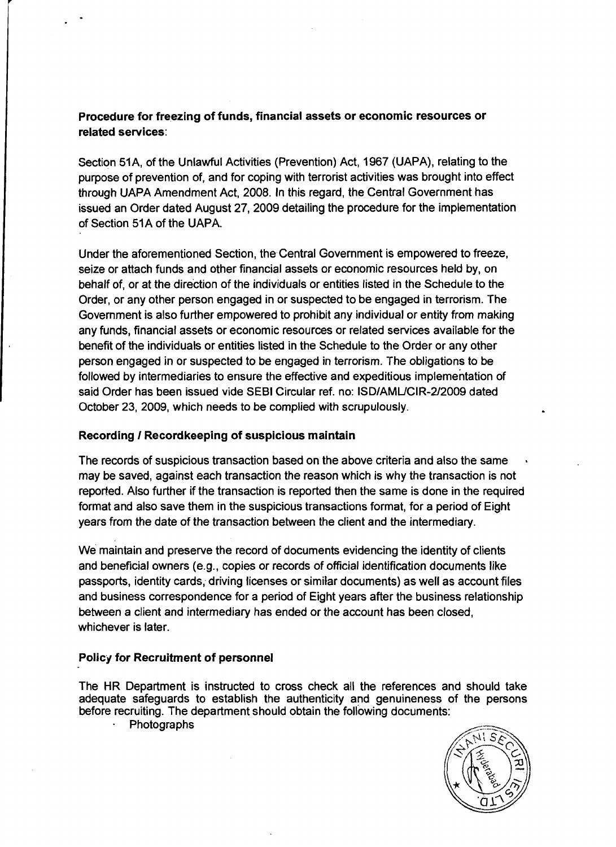# **Procedure for freezing of funds, financial assets or economic resources or related services:**

Section 51A, of the Unlawful Activities (Prevention) Act, 1967 (UAPA), relating to the purpose of prevention of, and for coping with terrorist activities was brought into effect through UAPA Amendment Act, 2008. In this regard, the Central Government has issued an Order dated August 27, 2009 detailing the procedure for the implementation of Section 51A of the UAPA.

Under the aforementioned Section, the Central Government is empowered to freeze, seize or attach funds and other financial assets or economic resources held by, on behalf of, or at the direction of the individuals or entities listed in the Schedule to the Order, or any other person engaged in or suspected to be engaged in terrorism. 'The Government is also further empowered to prohibit any individual or entity from making any funds, financial assets or economic resources or related services available for the benefit of the individuals or entities listed in the Schedule to the Order or any other person engaged in or suspected to be engaged in terrorism. The obligations to be followed by intermediaries to ensure the effective and expeditious implementation of said Order has been issued vide SEBl Circular ref. no: ISDIAMUCIR-212009 dated October 23, 2009, which needs to be complied with scrupulously.

# **Recording 1 Recordkeeping of suspicious maintain**

The records of suspicious transaction based on the above criteria and also the same may be saved, against each transaction the reason which is why the transaction is not reporled. Also further if the transaction is reported then the same is done in the required format and also save them in the suspicious transactions format, for a period of Eight years from the date of the transaction between the client and the intermediary.

We maintain and preserve the record of documents evidencing the identity of clients and beneficial owners (e.g., copies or records of official identification documents like passports, identity cards, driving licenses or similar documents) as well as account files and business correspondence for a period of Eight years after the business relationship between a client and intermediary has ended or the account has been closed, whichever is later.

# **Policy for Recruitment of personnel**

The HR Department is instructed to cross check all the references and should take adequate safeguards to establish the authenticity and genuineness of the persons before recruiting. The department should obtain the following documents:

Photographs